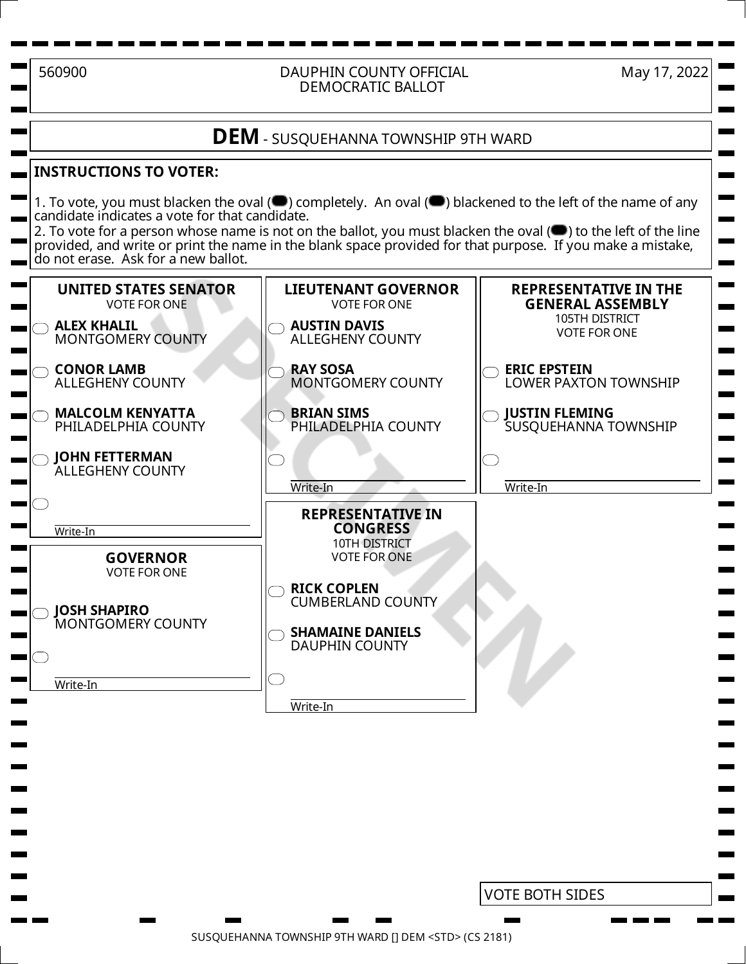## 560900 DAUPHIN COUNTY OFFICIAL DEMOCRATIC BALLOT

May 17, 2022

## **DEM** - SUSQUEHANNA TOWNSHIP 9TH WARD

## **INSTRUCTIONS TO VOTER:**

1. To vote, you must blacken the oval ( $\blacksquare$ ) completely. An oval ( $\blacksquare$ ) blackened to the left of the name of any candidate indicates a vote for that candidate.

2. To vote for a person whose name is not on the ballot, you must blacken the oval ( $\blacksquare$ ) to the left of the line provided, and write or print the name in the blank space provided for that purpose. If you make a mistake, do not erase. Ask for a new ballot.